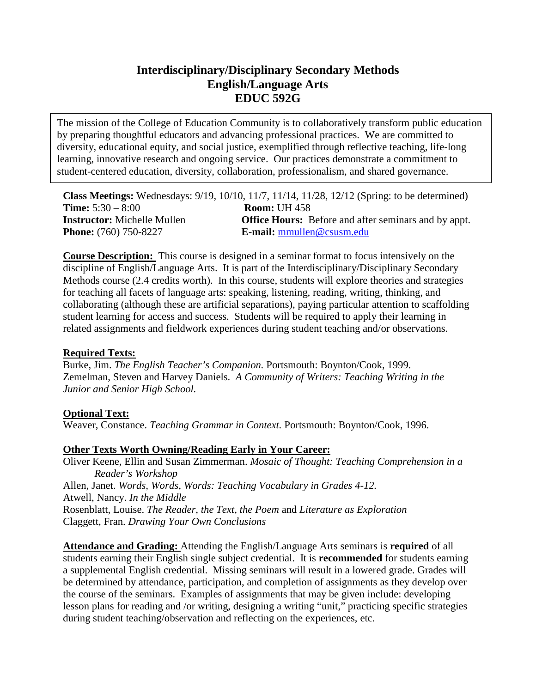# **Interdisciplinary/Disciplinary Secondary Methods English/Language Arts EDUC 592G**

The mission of the College of Education Community is to collaboratively transform public education by preparing thoughtful educators and advancing professional practices. We are committed to diversity, educational equity, and social justice, exemplified through reflective teaching, life-long learning, innovative research and ongoing service. Our practices demonstrate a commitment to student-centered education, diversity, collaboration, professionalism, and shared governance.

|                                    | <b>Class Meetings:</b> Wednesdays: $9/19$ , $10/10$ , $11/7$ , $11/14$ , $11/28$ , $12/12$ (Spring: to be determined) |
|------------------------------------|-----------------------------------------------------------------------------------------------------------------------|
| <b>Time:</b> $5:30 - 8:00$         | <b>Room: UH 458</b>                                                                                                   |
| <b>Instructor:</b> Michelle Mullen | <b>Office Hours:</b> Before and after seminars and by appt.                                                           |
| <b>Phone:</b> (760) 750-8227       | <b>E-mail:</b> mmullen@csusm.edu                                                                                      |

**Course Description:** This course is designed in a seminar format to focus intensively on the discipline of English/Language Arts. It is part of the Interdisciplinary/Disciplinary Secondary Methods course (2.4 credits worth). In this course, students will explore theories and strategies for teaching all facets of language arts: speaking, listening, reading, writing, thinking, and collaborating (although these are artificial separations), paying particular attention to scaffolding student learning for access and success. Students will be required to apply their learning in related assignments and fieldwork experiences during student teaching and/or observations.

## **Required Texts:**

Burke, Jim. *The English Teacher's Companion.* Portsmouth: Boynton/Cook, 1999. Zemelman, Steven and Harvey Daniels. *A Community of Writers: Teaching Writing in the Junior and Senior High School.*

## **Optional Text:**

Weaver, Constance. *Teaching Grammar in Context.* Portsmouth: Boynton/Cook, 1996.

### **Other Texts Worth Owning/Reading Early in Your Career:**

Oliver Keene, Ellin and Susan Zimmerman. *Mosaic of Thought: Teaching Comprehension in a Reader's Workshop* Allen, Janet. *Words, Words, Words: Teaching Vocabulary in Grades 4-12.* Atwell, Nancy. *In the Middle* Rosenblatt, Louise. *The Reader, the Text, the Poem* and *Literature as Exploration* Claggett, Fran. *Drawing Your Own Conclusions*

**Attendance and Grading:** Attending the English/Language Arts seminars is **required** of all students earning their English single subject credential. It is **recommended** for students earning a supplemental English credential. Missing seminars will result in a lowered grade. Grades will be determined by attendance, participation, and completion of assignments as they develop over the course of the seminars. Examples of assignments that may be given include: developing lesson plans for reading and /or writing, designing a writing "unit," practicing specific strategies during student teaching/observation and reflecting on the experiences, etc.